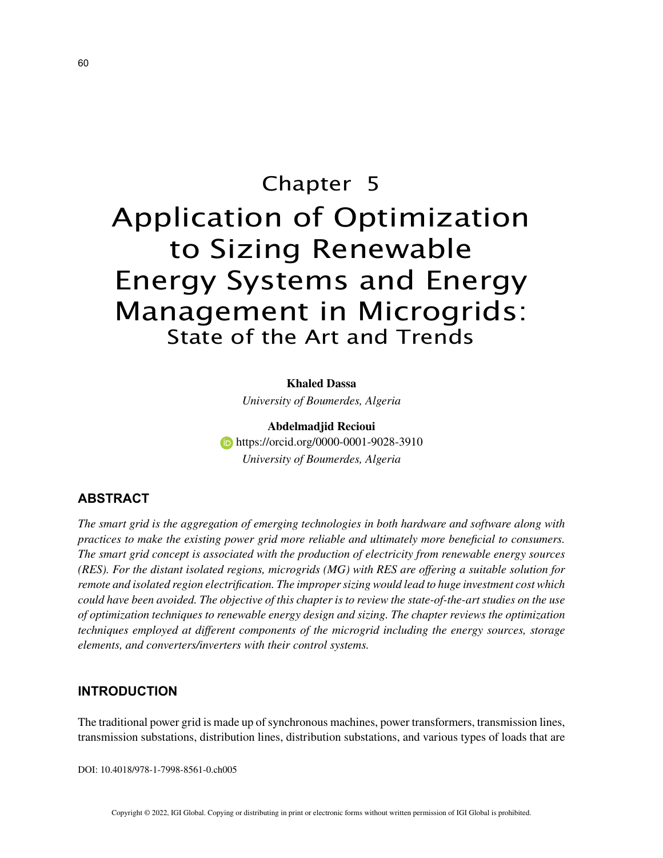# Chapter 5 Application of Optimization to Sizing Renewable Energy Systems and Energy Management in Microgrids: State of the Art and Trends

**Khaled Dassa** *University of Boumerdes, Algeria*

**Abdelmadjid Recioui https://orcid.org/0000-0001-9028-3910** *University of Boumerdes, Algeria*

# **ABSTRACT**

*The smart grid is the aggregation of emerging technologies in both hardware and software along with practices to make the existing power grid more reliable and ultimately more beneficial to consumers. The smart grid concept is associated with the production of electricity from renewable energy sources (RES). For the distant isolated regions, microgrids (MG) with RES are offering a suitable solution for remote and isolated region electrification. The improper sizing would lead to huge investment cost which could have been avoided. The objective of this chapter is to review the state-of-the-art studies on the use of optimization techniques to renewable energy design and sizing. The chapter reviews the optimization techniques employed at different components of the microgrid including the energy sources, storage elements, and converters/inverters with their control systems.*

## **INTRODUCTION**

The traditional power grid is made up of synchronous machines, power transformers, transmission lines, transmission substations, distribution lines, distribution substations, and various types of loads that are

DOI: 10.4018/978-1-7998-8561-0.ch005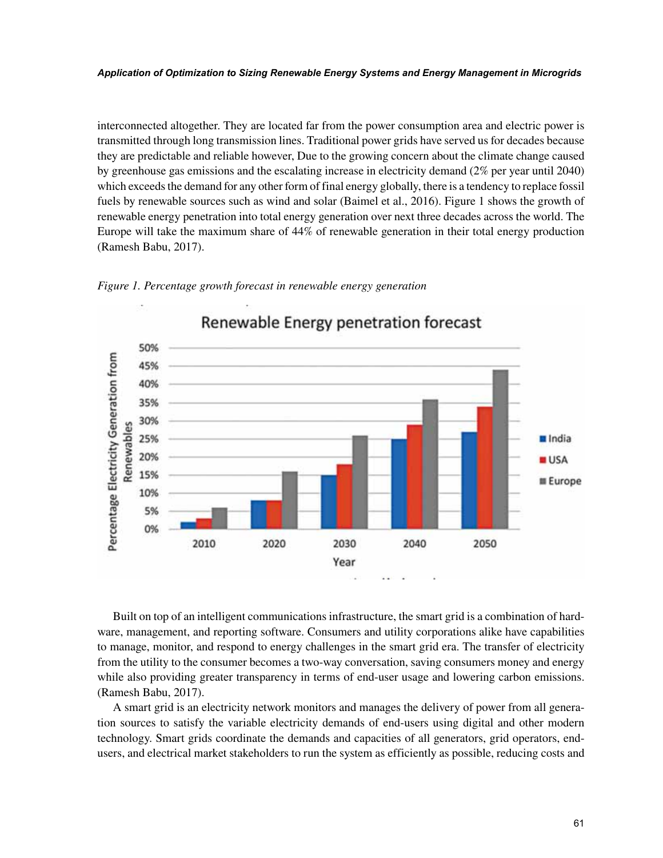#### *Application of Optimization to Sizing Renewable Energy Systems and Energy Management in Microgrids*

interconnected altogether. They are located far from the power consumption area and electric power is transmitted through long transmission lines. Traditional power grids have served us for decades because they are predictable and reliable however, Due to the growing concern about the climate change caused by greenhouse gas emissions and the escalating increase in electricity demand (2% per year until 2040) which exceeds the demand for any other form of final energy globally, there is a tendency to replace fossil fuels by renewable sources such as wind and solar (Baimel et al., 2016). Figure 1 shows the growth of renewable energy penetration into total energy generation over next three decades across the world. The Europe will take the maximum share of 44% of renewable generation in their total energy production (Ramesh Babu, 2017).





Built on top of an intelligent communications infrastructure, the smart grid is a combination of hardware, management, and reporting software. Consumers and utility corporations alike have capabilities to manage, monitor, and respond to energy challenges in the smart grid era. The transfer of electricity from the utility to the consumer becomes a two-way conversation, saving consumers money and energy while also providing greater transparency in terms of end-user usage and lowering carbon emissions. (Ramesh Babu, 2017).

A smart grid is an electricity network monitors and manages the delivery of power from all generation sources to satisfy the variable electricity demands of end-users using digital and other modern technology. Smart grids coordinate the demands and capacities of all generators, grid operators, endusers, and electrical market stakeholders to run the system as efficiently as possible, reducing costs and